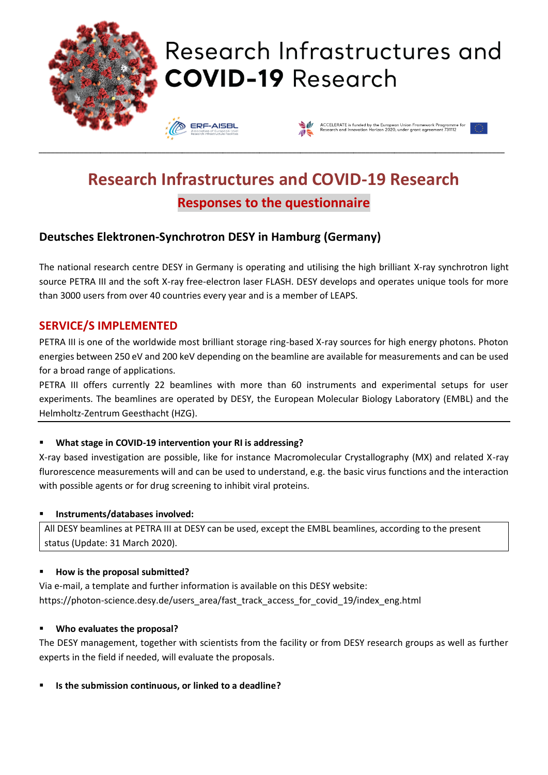

# **Research Infrastructures and COVID-19 Research Responses to the questionnaire**

# **Deutsches Elektronen-Synchrotron DESY in Hamburg (Germany)**

The national research centre DESY in Germany is operating and utilising the high brilliant X-ray synchrotron light source PETRA III and the soft X-ray free-electron laser FLASH. DESY develops and operates unique tools for more than 3000 users from over 40 countries every year and is a member of LEAPS.

### **SERVICE/S IMPLEMENTED**

PETRA III is one of the worldwide most brilliant storage ring-based X-ray sources for high energy photons. Photon energies between 250 eV and 200 keV depending on the beamline are available for measurements and can be used for a broad range of applications.

PETRA III offers currently 22 beamlines with more than 60 instruments and experimental setups for user experiments. The beamlines are operated by DESY, the European Molecular Biology Laboratory (EMBL) and the Helmholtz-Zentrum Geesthacht (HZG).

#### ▪ **What stage in COVID-19 intervention your RI is addressing?**

X-ray based investigation are possible, like for instance Macromolecular Crystallography (MX) and related X-ray flurorescence measurements will and can be used to understand, e.g. the basic virus functions and the interaction with possible agents or for drug screening to inhibit viral proteins.

#### ▪ **Instruments/databases involved:**

All DESY beamlines at PETRA III at DESY can be used, except the EMBL beamlines, according to the present status (Update: 31 March 2020).

#### ▪ **How is the proposal submitted?**

Via e-mail, a template and further information is available on this DESY website: https://photon-science.desy.de/users\_area/fast\_track\_access\_for\_covid\_19/index\_eng.html

#### ▪ **Who evaluates the proposal?**

The DESY management, together with scientists from the facility or from DESY research groups as well as further experts in the field if needed, will evaluate the proposals.

▪ **Is the submission continuous, or linked to a deadline?**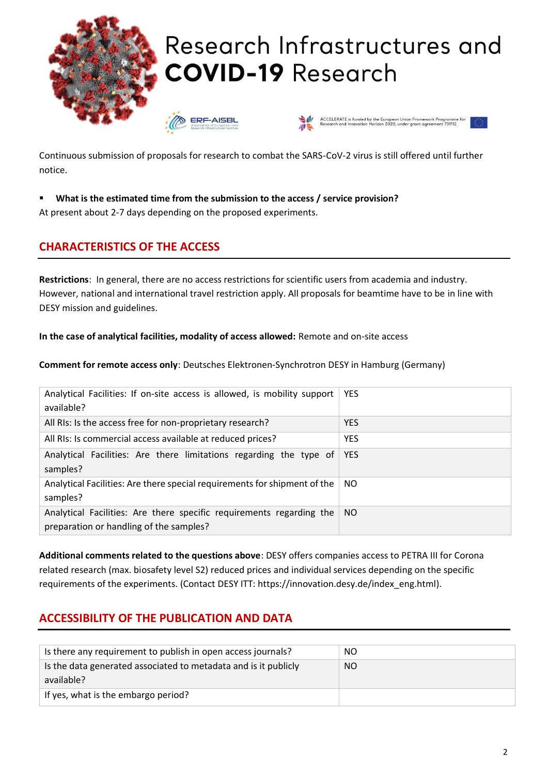

Continuous submission of proposals for research to combat the SARS-CoV-2 virus is still offered until further notice.

▪ **What is the estimated time from the submission to the access / service provision?**

At present about 2-7 days depending on the proposed experiments.

# **CHARACTERISTICS OF THE ACCESS**

**Restrictions**: In general, there are no access restrictions for scientific users from academia and industry. However, national and international travel restriction apply. All proposals for beamtime have to be in line with DESY mission and guidelines.

**In the case of analytical facilities, modality of access allowed:** Remote and on-site access

**Comment for remote access only**: Deutsches Elektronen-Synchrotron DESY in Hamburg (Germany)

| Analytical Facilities: If on-site access is allowed, is mobility support<br>available?                          | <b>YES</b> |
|-----------------------------------------------------------------------------------------------------------------|------------|
| All RIs: Is the access free for non-proprietary research?                                                       | <b>YES</b> |
| All RIs: Is commercial access available at reduced prices?                                                      | <b>YES</b> |
| Analytical Facilities: Are there limitations regarding the type of<br>samples?                                  | <b>YES</b> |
| Analytical Facilities: Are there special requirements for shipment of the<br>samples?                           | NO.        |
| Analytical Facilities: Are there specific requirements regarding the<br>preparation or handling of the samples? | NO.        |

**Additional comments related to the questions above**: DESY offers companies access to PETRA III for Corona related research (max. biosafety level S2) reduced prices and individual services depending on the specific requirements of the experiments. (Contact DESY ITT: https://innovation.desy.de/index\_eng.html).

# **ACCESSIBILITY OF THE PUBLICATION AND DATA**

| Is there any requirement to publish in open access journals?                  | NO.       |
|-------------------------------------------------------------------------------|-----------|
| Is the data generated associated to metadata and is it publicly<br>available? | <b>NO</b> |
| If yes, what is the embargo period?                                           |           |